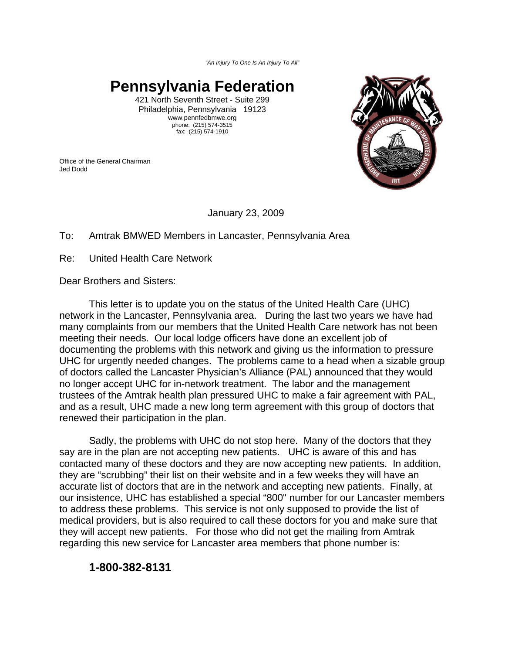*"An Injury To One Is An Injury To All"*

## **Pennsylvania Federation**

421 North Seventh Street - Suite 299 Philadelphia, Pennsylvania 19123 www.pennfedbmwe.org phone: (215) 574-3515 fax: (215) 574-1910

Office of the General Chairman Jed Dodd



January 23, 2009

## To: Amtrak BMWED Members in Lancaster, Pennsylvania Area

Re: United Health Care Network

Dear Brothers and Sisters:

This letter is to update you on the status of the United Health Care (UHC) network in the Lancaster, Pennsylvania area. During the last two years we have had many complaints from our members that the United Health Care network has not been meeting their needs. Our local lodge officers have done an excellent job of documenting the problems with this network and giving us the information to pressure UHC for urgently needed changes. The problems came to a head when a sizable group of doctors called the Lancaster Physician's Alliance (PAL) announced that they would no longer accept UHC for in-network treatment. The labor and the management trustees of the Amtrak health plan pressured UHC to make a fair agreement with PAL, and as a result, UHC made a new long term agreement with this group of doctors that renewed their participation in the plan.

Sadly, the problems with UHC do not stop here. Many of the doctors that they say are in the plan are not accepting new patients. UHC is aware of this and has contacted many of these doctors and they are now accepting new patients. In addition, they are "scrubbing" their list on their website and in a few weeks they will have an accurate list of doctors that are in the network and accepting new patients. Finally, at our insistence, UHC has established a special "800" number for our Lancaster members to address these problems. This service is not only supposed to provide the list of medical providers, but is also required to call these doctors for you and make sure that they will accept new patients. For those who did not get the mailing from Amtrak regarding this new service for Lancaster area members that phone number is:

## **1-800-382-8131**